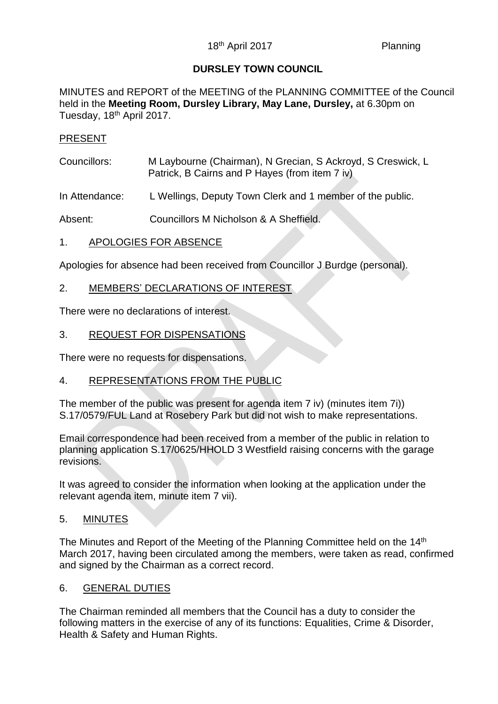## **DURSLEY TOWN COUNCIL**

MINUTES and REPORT of the MEETING of the PLANNING COMMITTEE of the Council held in the **Meeting Room, Dursley Library, May Lane, Dursley,** at 6.30pm on Tuesday, 18<sup>th</sup> April 2017.

### PRESENT

- Councillors: M Laybourne (Chairman), N Grecian, S Ackroyd, S Creswick, L Patrick, B Cairns and P Hayes (from item 7 iv)
- In Attendance: L Wellings, Deputy Town Clerk and 1 member of the public.

Absent: Councillors M Nicholson & A Sheffield.

### 1. APOLOGIES FOR ABSENCE

Apologies for absence had been received from Councillor J Burdge (personal).

### 2. MEMBERS' DECLARATIONS OF INTEREST

There were no declarations of interest.

### 3. REQUEST FOR DISPENSATIONS

There were no requests for dispensations.

## 4. REPRESENTATIONS FROM THE PUBLIC

The member of the public was present for agenda item 7 iv) (minutes item 7i)) S.17/0579/FUL Land at Rosebery Park but did not wish to make representations.

Email correspondence had been received from a member of the public in relation to planning application S.17/0625/HHOLD 3 Westfield raising concerns with the garage revisions.

It was agreed to consider the information when looking at the application under the relevant agenda item, minute item 7 vii).

#### 5. MINUTES

The Minutes and Report of the Meeting of the Planning Committee held on the 14<sup>th</sup> March 2017, having been circulated among the members, were taken as read, confirmed and signed by the Chairman as a correct record.

#### 6. GENERAL DUTIES

The Chairman reminded all members that the Council has a duty to consider the following matters in the exercise of any of its functions: Equalities, Crime & Disorder, Health & Safety and Human Rights.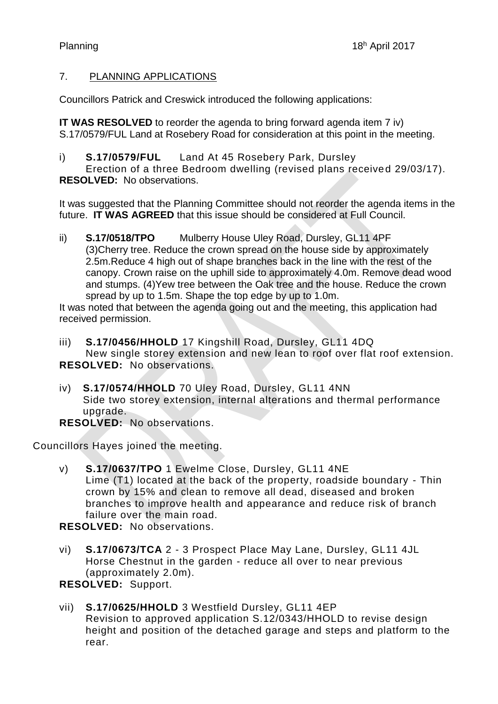# 7. PLANNING APPLICATIONS

Councillors Patrick and Creswick introduced the following applications:

**IT WAS RESOLVED** to reorder the agenda to bring forward agenda item 7 iv) S.17/0579/FUL Land at Rosebery Road for consideration at this point in the meeting.

i) **S.17/0579/FUL** Land At 45 Rosebery Park, Dursley

Erection of a three Bedroom dwelling (revised plans received 29/03/17). **RESOLVED:** No observations.

It was suggested that the Planning Committee should not reorder the agenda items in the future. **IT WAS AGREED** that this issue should be considered at Full Council.

ii) **S.17/0518/TPO** Mulberry House Uley Road, Dursley, GL11 4PF (3)Cherry tree. Reduce the crown spread on the house side by approximately 2.5m.Reduce 4 high out of shape branches back in the line with the rest of the canopy. Crown raise on the uphill side to approximately 4.0m. Remove dead wood and stumps. (4)Yew tree between the Oak tree and the house. Reduce the crown spread by up to 1.5m. Shape the top edge by up to 1.0m.

It was noted that between the agenda going out and the meeting, this application had received permission.

iii) **S.17/0456/HHOLD** 17 Kingshill Road, Dursley, GL11 4DQ New single storey extension and new lean to roof over flat roof extension. **RESOLVED:** No observations.

iv) **S.17/0574/HHOLD** 70 Uley Road, Dursley, GL11 4NN Side two storey extension, internal alterations and thermal performance upgrade.

**RESOLVED:** No observations.

Councillors Hayes joined the meeting.

v) **S.17/0637/TPO** 1 Ewelme Close, Dursley, GL11 4NE Lime (T1) located at the back of the property, roadside boundary - Thin crown by 15% and clean to remove all dead, diseased and broken branches to improve health and appearance and reduce risk of branch failure over the main road.

**RESOLVED:** No observations.

vi) **S.17/0673/TCA** 2 - 3 Prospect Place May Lane, Dursley, GL11 4JL Horse Chestnut in the garden - reduce all over to near previous (approximately 2.0m).

**RESOLVED:** Support.

vii) **S.17/0625/HHOLD** 3 Westfield Dursley, GL11 4EP Revision to approved application S.12/0343/HHOLD to revise design height and position of the detached garage and steps and platform to the rear.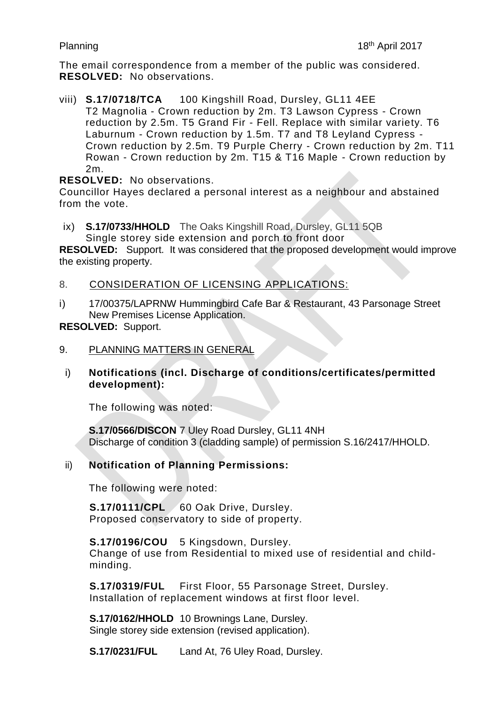The email correspondence from a member of the public was considered. **RESOLVED:** No observations.

viii) **S.17/0718/TCA** 100 Kingshill Road, Dursley, GL11 4EE T2 Magnolia - Crown reduction by 2m. T3 Lawson Cypress - Crown reduction by 2.5m. T5 Grand Fir - Fell. Replace with similar variety. T6 Laburnum - Crown reduction by 1.5m. T7 and T8 Leyland Cypress - Crown reduction by 2.5m. T9 Purple Cherry - Crown reduction by 2m. T11 Rowan - Crown reduction by 2m. T15 & T16 Maple - Crown reduction by 2m.

**RESOLVED:** No observations.

Councillor Hayes declared a personal interest as a neighbour and abstained from the vote.

ix) **S.17/0733/HHOLD** The Oaks Kingshill Road, Dursley, GL11 5QB Single storey side extension and porch to front door

**RESOLVED:** Support. It was considered that the proposed development would improve the existing property.

8. CONSIDERATION OF LICENSING APPLICATIONS:

i) 17/00375/LAPRNW Hummingbird Cafe Bar & Restaurant, 43 Parsonage Street New Premises License Application.

**RESOLVED:** Support.

#### 9. PLANNING MATTERS IN GENERAL

i) **Notifications (incl. Discharge of conditions/certificates/permitted development):** 

The following was noted:

**S.17/0566/DISCON** 7 Uley Road Dursley, GL11 4NH Discharge of condition 3 (cladding sample) of permission S.16/2417/HHOLD.

#### ii) **Notification of Planning Permissions:**

The following were noted:

**S.17/0111/CPL** 60 Oak Drive, Dursley. Proposed conservatory to side of property.

**S.17/0196/COU** 5 Kingsdown, Dursley. Change of use from Residential to mixed use of residential and childminding.

**S.17/0319/FUL** First Floor, 55 Parsonage Street, Dursley. Installation of replacement windows at first floor level.

**S.17/0162/HHOLD** 10 Brownings Lane, Dursley. Single storey side extension (revised application).

**S.17/0231/FUL** Land At, 76 Uley Road, Dursley.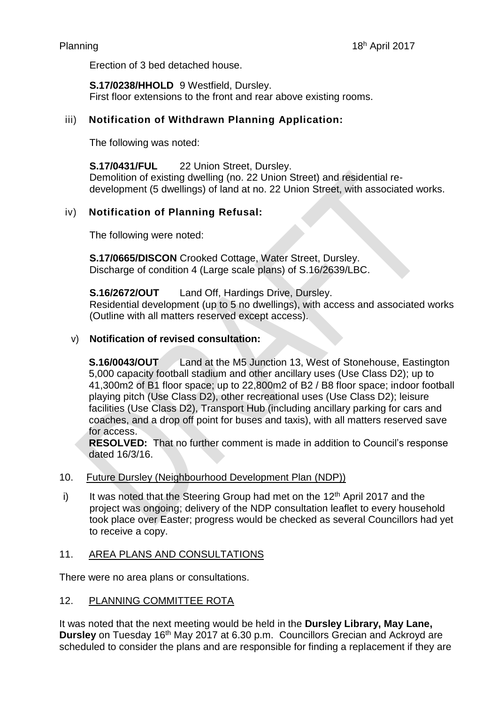Erection of 3 bed detached house.

**S.17/0238/HHOLD** 9 Westfield, Dursley. First floor extensions to the front and rear above existing rooms.

## iii) **Notification of Withdrawn Planning Application:**

The following was noted:

**S.17/0431/FUL** 22 Union Street, Dursley. Demolition of existing dwelling (no. 22 Union Street) and residential redevelopment (5 dwellings) of land at no. 22 Union Street, with associated works.

# iv) **Notification of Planning Refusal:**

The following were noted:

**S.17/0665/DISCON** Crooked Cottage, Water Street, Dursley. Discharge of condition 4 (Large scale plans) of S.16/2639/LBC.

**S.16/2672/OUT** Land Off, Hardings Drive, Dursley.

Residential development (up to 5 no dwellings), with access and associated works (Outline with all matters reserved except access).

## v) **Notification of revised consultation:**

**S.16/0043/OUT** Land at the M5 Junction 13, West of Stonehouse, Eastington 5,000 capacity football stadium and other ancillary uses (Use Class D2); up to 41,300m2 of B1 floor space; up to 22,800m2 of B2 / B8 floor space; indoor football playing pitch (Use Class D2), other recreational uses (Use Class D2); leisure facilities (Use Class D2), Transport Hub (including ancillary parking for cars and coaches, and a drop off point for buses and taxis), with all matters reserved save for access.

**RESOLVED:** That no further comment is made in addition to Council's response dated 16/3/16.

## 10. Future Dursley (Neighbourhood Development Plan (NDP))

i) It was noted that the Steering Group had met on the  $12<sup>th</sup>$  April 2017 and the project was ongoing; delivery of the NDP consultation leaflet to every household took place over Easter; progress would be checked as several Councillors had yet to receive a copy.

## 11. AREA PLANS AND CONSULTATIONS

There were no area plans or consultations.

#### 12. PLANNING COMMITTEE ROTA

It was noted that the next meeting would be held in the **Dursley Library, May Lane, Dursley** on Tuesday 16<sup>th</sup> May 2017 at 6.30 p.m. Councillors Grecian and Ackroyd are scheduled to consider the plans and are responsible for finding a replacement if they are